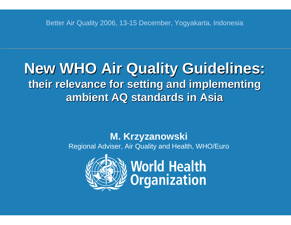#### **New WHO Air Quality Guidelines: their relevance for setting and implementing theirrelevance relevance forsetting setting and implementing implementing ambient AQ standards in Asia ambient AQ ambient AQ standards standards in Asia**

#### **M. Krzyzanowski** Regional Adviser, Air Quality and Health, WHO/Euro



**World Health<br>Organization**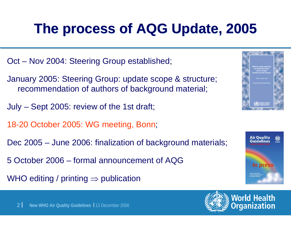## **The process of AQG Update, 2005 The process of AQG Update, 2005**

Oct – Nov 2004: Steering Group established;

January 2005: Steering Group: update scope & structure; recommendation of authors of background material;

July – Sept 2005: review of the 1st draft;

18-20 October 2005: WG meeting, Bonn;

Dec 2005 – June 2006: finalization of background materials;

5 October 2006 – formal announcement of AQG

WHO editing / printing  $\Rightarrow$  publication



**World Health** 

rganization

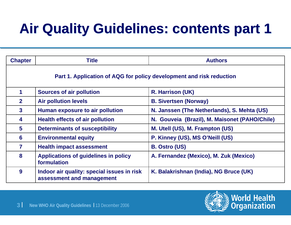# **Air Quality Guidelines: contents part 1**

| <b>Chapter</b>                                                       | <b>Title</b>                                                            | <b>Authors</b>                                |  |  |
|----------------------------------------------------------------------|-------------------------------------------------------------------------|-----------------------------------------------|--|--|
| Part 1. Application of AQG for policy development and risk reduction |                                                                         |                                               |  |  |
| 1                                                                    | <b>Sources of air pollution</b>                                         | R. Harrison (UK)                              |  |  |
| $\mathbf{2}$                                                         | <b>Air pollution levels</b>                                             | <b>B. Sivertsen (Norway)</b>                  |  |  |
| $\mathbf{3}$                                                         | <b>Human exposure to air pollution</b>                                  | N. Janssen (The Netherlands), S. Mehta (US)   |  |  |
| 4                                                                    | <b>Health effects of air pollution</b>                                  | N. Gouveia (Brazil), M. Maisonet (PAHO/Chile) |  |  |
| $5\overline{)}$                                                      | <b>Determinants of susceptibility</b>                                   | M. Utell (US), M. Frampton (US)               |  |  |
| 6                                                                    | <b>Environmental equity</b>                                             | P. Kinney (US), MS O'Neill (US)               |  |  |
| 7                                                                    | <b>Health impact assessment</b>                                         | <b>B. Ostro (US)</b>                          |  |  |
| 8                                                                    | <b>Applications of guidelines in policy</b><br>formulation              | A. Fernandez (Mexico), M. Zuk (Mexico)        |  |  |
| 9                                                                    | Indoor air quality: special issues in risk<br>assessment and management | K. Balakrishnan (India), NG Bruce (UK)        |  |  |

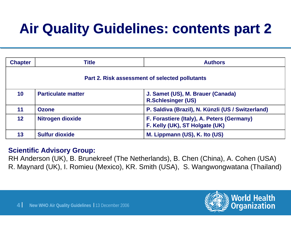# **Air Quality Guidelines: contents part 2 Air Quality Guidelines: contents part 2**

| <b>Chapter</b>                                 | <b>Title</b>              | <b>Authors</b>                                                               |  |
|------------------------------------------------|---------------------------|------------------------------------------------------------------------------|--|
| Part 2. Risk assessment of selected pollutants |                           |                                                                              |  |
| 10                                             | <b>Particulate matter</b> | J. Samet (US), M. Brauer (Canada)<br><b>R.Schlesinger (US)</b>               |  |
| 11                                             | <b>Ozone</b>              | P. Saldiva (Brazil), N. Künzli (US / Switzerland)                            |  |
| 12 <sub>2</sub>                                | Nitrogen dioxide          | F. Forastiere (Italy), A. Peters (Germany)<br>F. Kelly (UK), ST Holgate (UK) |  |
| 13                                             | <b>Sulfur dioxide</b>     | M. Lippmann (US), K. Ito (US)                                                |  |

#### **Scientific Advisory Group:**

RH Anderson (UK), B. Brunekreef (The Netherlands), B. Chen (China), A. Cohen (USA) R. Maynard (UK), I. Romieu (Mexico), KR. Smith (USA), S. Wangwongwatana (Thailand)



**World Health** 

rganization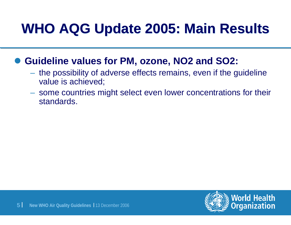## **WHO AQG Update 2005: Main Results WHO AQG Update 2005: Main Results**

#### $\bullet$ **Guideline values for PM, ozone, NO2 and SO2:**

- the possibility of adverse effects remains, even if the guideline value is achieved;
- some countries might select even lower concentrations for their standards.

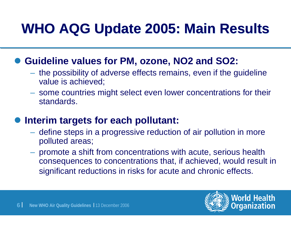## **WHO AQG Update 2005: Main Results WHO AQG Update 2005: Main Results**

#### ● Guideline values for PM, ozone, NO2 and SO2:

- the possibility of adverse effects remains, even if the guideline value is achieved;
- some countries might select even lower concentrations for their standards.

#### $\bullet$ **Interim targets for each pollutant:**

- define steps in a progressive reduction of air pollution in more polluted areas;
- promote a shift from concentrations with acute, serious health consequences to concentrations that, if achieved, would result in significant reductions in risks for acute and chronic effects.



**World Health** 

ganization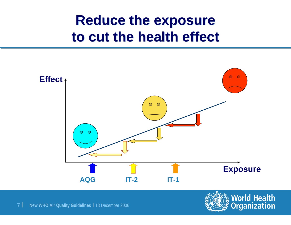#### **Reduce the exposure Reduce the exposure to cut the health effect to cut the health effect**



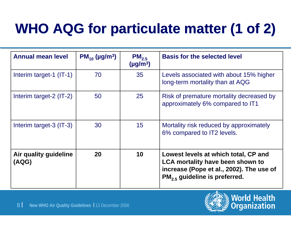# **WHO AQG for particulate matter (1 of 2) WHO AQG for particulate matter (1 of 2)**

| <b>Annual mean level</b>       | $PM_{10}$ (µg/m <sup>3</sup> ) | $PM_{2,5}$<br>$(\mu g/m^3)$ | <b>Basis for the selected level</b>                                                                                                                     |  |
|--------------------------------|--------------------------------|-----------------------------|---------------------------------------------------------------------------------------------------------------------------------------------------------|--|
| Interim target-1 (IT-1)        | 70                             | 35                          | Levels associated with about 15% higher<br>long-term mortality than at AQG                                                                              |  |
| Interim target-2 (IT-2)        | 50                             | 25                          | Risk of premature mortality decreased by<br>approximately 6% compared to IT1                                                                            |  |
| Interim target-3 (IT-3)        | 30                             | 15                          | Mortality risk reduced by approximately<br>6% compared to IT2 levels.                                                                                   |  |
| Air quality guideline<br>(AQG) | 20                             | 10                          | Lowest levels at which total, CP and<br>LCA mortality have been shown to<br>increase (Pope et al., 2002). The use of<br>$PM2.5$ guideline is preferred. |  |

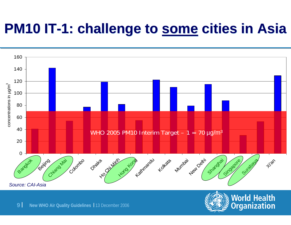### **PM10 IT-1: challenge to some cities in Asia**



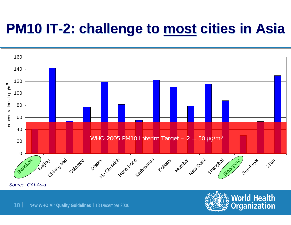### **PM10 IT-2: challenge to <u>most</u> cities in Asia**



*Source: CAI-Asia*

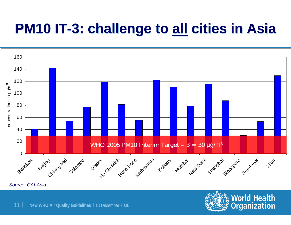### **PM10 IT-3: challenge to all cities in Asia**



*Source: CAI-Asia*

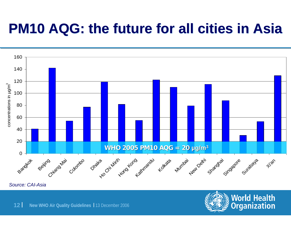#### **PM10 AQG: the future for all cities in Asia PM10 AQG: the future for all cities in Asia**



*Source: CAI-Asia*

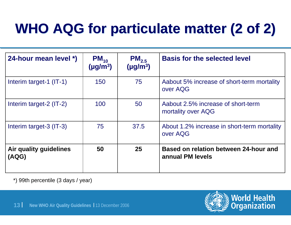# **WHO AQG for particulate matter (2 of 2) WHO AQG for particulate matter (2 of 2)**

| 24-hour mean level *)           | $PM_{10}$<br>$(\mu g/m^3)$ | $PM_{2.5}$<br>$(\mu g/m^3)$ | <b>Basis for the selected level</b>                       |
|---------------------------------|----------------------------|-----------------------------|-----------------------------------------------------------|
| Interim target-1 $(IT-1)$       | 150                        | 75                          | Aabout 5% increase of short-term mortality<br>over AQG    |
| Interim target-2 $(IT-2)$       | 100                        | 50                          | Aabout 2.5% increase of short-term<br>mortality over AQG  |
| Interim target-3 (IT-3)         | 75                         | 37.5                        | About 1.2% increase in short-term mortality<br>over AQG   |
| Air quality guidelines<br>(AQG) | 50                         | 25                          | Based on relation between 24-hour and<br>annual PM levels |

\*) 99th percentile (3 days / year)

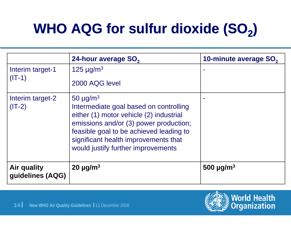# **WHO AQG for sulfur dioxide (SO<sub>2</sub>)**

|                                        | 24-hour average SO <sub>2</sub>                                                                                                                                                                                                                                                   | 10-minute average SO <sub>2</sub> |
|----------------------------------------|-----------------------------------------------------------------------------------------------------------------------------------------------------------------------------------------------------------------------------------------------------------------------------------|-----------------------------------|
| Interim target-1<br>$(IT-1)$           | 125 $\mu$ g/m <sup>3</sup><br>2000 AQG level                                                                                                                                                                                                                                      |                                   |
| Interim target-2<br>$(IT-2)$           | 50 $\mu$ g/m <sup>3</sup><br>Intermediate goal based on controlling<br>either (1) motor vehicle (2) industrial<br>emissions and/or (3) power production;<br>feasible goal to be achieved leading to<br>significant health improvements that<br>would justify further improvements |                                   |
| <b>Air quality</b><br>guidelines (AQG) | $20 \mu g/m^3$                                                                                                                                                                                                                                                                    | 500 $\mu$ g/m <sup>3</sup>        |

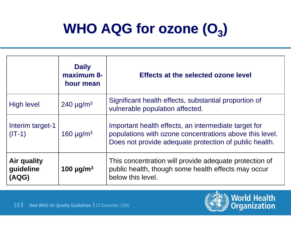# **WHO AQG for ozone**  $(O_3)$

|                                                 | <b>Daily</b><br>maximum 8-<br>hour mean | Effects at the selected ozone level                                                                                                                                       |
|-------------------------------------------------|-----------------------------------------|---------------------------------------------------------------------------------------------------------------------------------------------------------------------------|
| <b>High level</b><br>240 $\mu$ g/m <sup>3</sup> |                                         | Significant health effects, substantial proportion of<br>vulnerable population affected.                                                                                  |
| Interim target-1<br>$(IT-1)$                    | 160 $\mu$ g/m <sup>3</sup>              | Important health effects, an intermediate target for<br>populations with ozone concentrations above this level.<br>Does not provide adequate protection of public health. |
| <b>Air quality</b><br>guideline<br>(AQG)        | 100 $\mu$ g/m <sup>3</sup>              | This concentration will provide adequate protection of<br>public health, though some health effects may occur<br>below this level.                                        |



**World Health**<br>**Organization**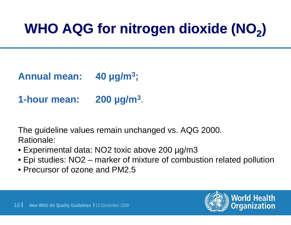# **WHO AQG for nitrogen dioxide (NO<sub>2</sub>)**

**Annual mean: 40 µg/m3;**

**1-hour mean: 200 µg/m3**.

The guideline values remain unchanged vs. AQG 2000. Rationale:

- Experimental data: NO2 toxic above 200 µg/m3
- Epi studies: NO2 marker of mixture of combustion related pollution
- Precursor of ozone and PM2.5

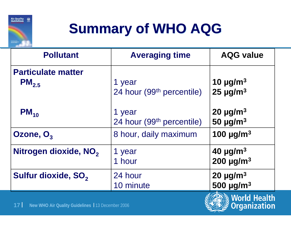

# **Summary of WHO AQG Summary of WHO AQG**

| <b>Pollutant</b>                                     | <b>Averaging time</b>                           | <b>AQG value</b>                                        |
|------------------------------------------------------|-------------------------------------------------|---------------------------------------------------------|
| <b>Particulate matter</b><br>$PM_{2.5}$              | 1 year<br>24 hour (99 <sup>th</sup> percentile) | 10 $\mu$ g/m <sup>3</sup><br>$25 \mu g/m^3$             |
| $PM_{10}$                                            | 1 year<br>24 hour (99 <sup>th</sup> percentile) | $20 \mu g/m^3$<br>50 $\mu$ g/m <sup>3</sup>             |
| Ozone, O <sub>3</sub>                                | 8 hour, daily maximum                           | 100 $\mu$ g/m <sup>3</sup>                              |
| Nitrogen dioxide, NO <sub>2</sub>                    | 1 year<br>1 hour                                | 40 $\mu$ g/m <sup>3</sup><br>200 $\mu$ g/m <sup>3</sup> |
| Sulfur dioxide, SO <sub>2</sub>                      | 24 hour<br>10 minute                            | $20 \mu g/m^3$<br>500 $\mu$ g/m <sup>3</sup>            |
| 17 New WHO Air Quality Guidelines   13 December 2006 | <b>Norld Health</b><br><b>Organization</b>      |                                                         |